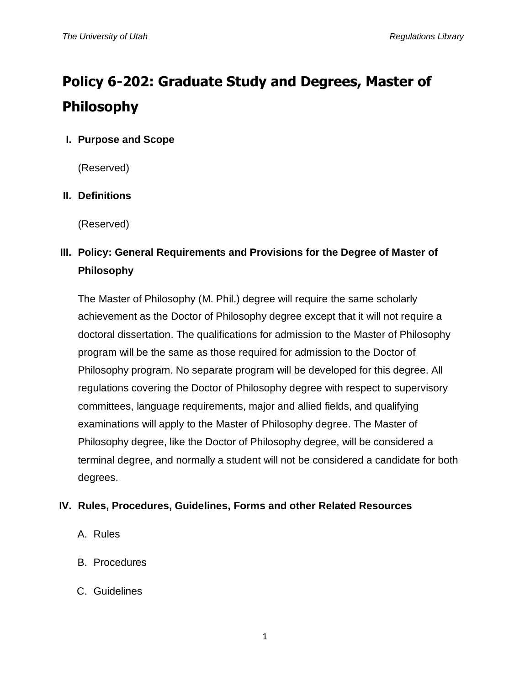# **Policy 6-202: Graduate Study and Degrees, Master of Philosophy**

#### **I. Purpose and Scope**

(Reserved)

#### **II. Definitions**

(Reserved)

## **III. Policy: General Requirements and Provisions for the Degree of Master of Philosophy**

The Master of Philosophy (M. Phil.) degree will require the same scholarly achievement as the Doctor of Philosophy degree except that it will not require a doctoral dissertation. The qualifications for admission to the Master of Philosophy program will be the same as those required for admission to the Doctor of Philosophy program. No separate program will be developed for this degree. All regulations covering the Doctor of Philosophy degree with respect to supervisory committees, language requirements, major and allied fields, and qualifying examinations will apply to the Master of Philosophy degree. The Master of Philosophy degree, like the Doctor of Philosophy degree, will be considered a terminal degree, and normally a student will not be considered a candidate for both degrees.

#### **IV. Rules, Procedures, Guidelines, Forms and other Related Resources**

- A. Rules
- B. Procedures
- C. Guidelines